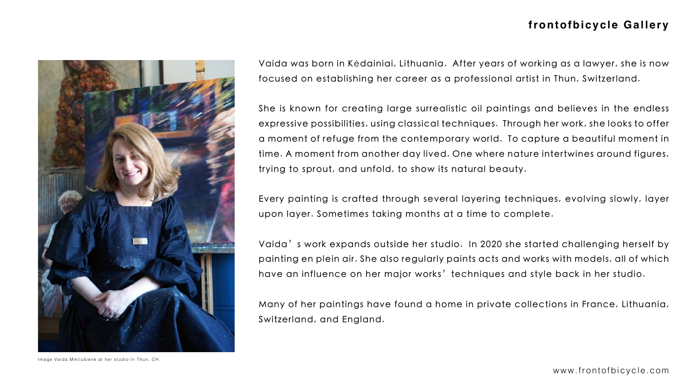

Vaida was born in Kėdainiai, Lithuania. After years of working as a lawyer, she is now focused on establishing her career as a professional artist in Thun, Switzerland.

Vaida's work expands outside her studio. In 2020 she started challenging herself by painting en plein air. She also regularly paints acts and works with models, all of which have an influence on her major works' techniques and style back in her studio.

She is known for creating large surrealistic oil paintings and believes in the endless expressive possibilities, using classical techniques. Through her work, she looks to offer a moment of refuge from the contemporary world. To capture a beautiful moment in time. A moment from another day lived. One where nature intertwines around figures, trying to sprout, and unfold, to show its natural beauty.

Every painting is crafted through several layering techniques, evolving slowly, layer upon layer. Sometimes taking months at a time to complete.

Many of her paintings have found a home in private collections in France, Lithuania, Switzerland, and England.



#### **frontofbicycle Gallery**

Image:Vaida Mikliušienė at her studio in Thun, CH.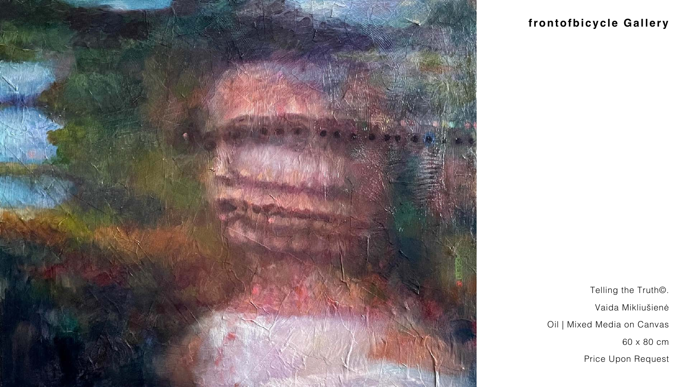

# **frontofbicycle Gallery**

Telling the Truth©.

Vaida Mikliušienė

Oil | Mixed Media on Canvas



Price Upon Request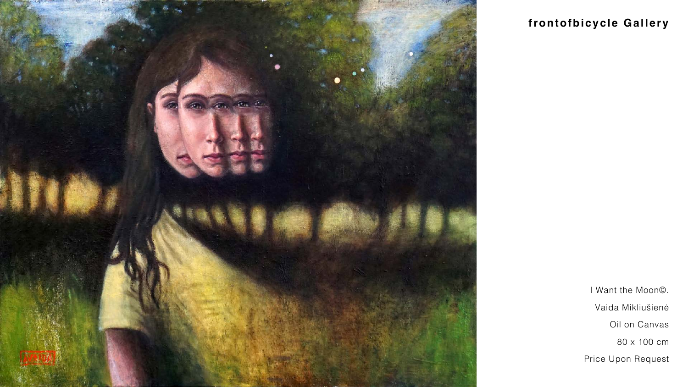

# frontofbicycle Gallery

I Want the Moon©.

Vaida Mikliušienė

Oil on Canvas

Price Upon Request

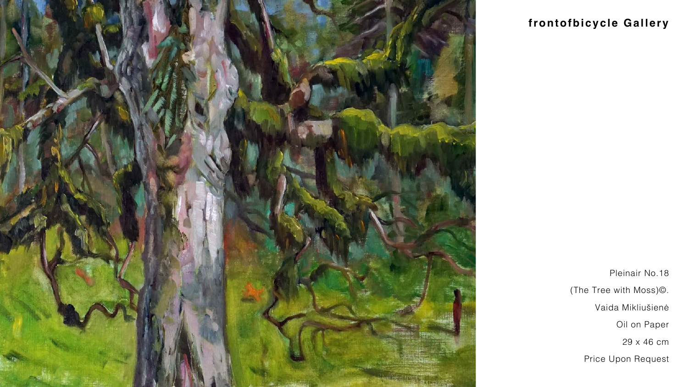

### **frontofbicycle Gallery**

Pleinair No.18

(The Tree with Moss)©.

Vaida Mikliušienė





Price Upon Request